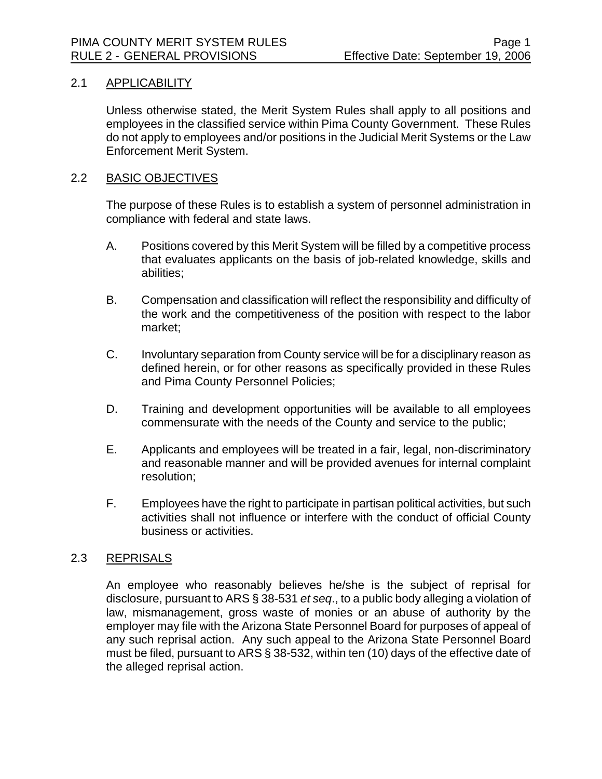# 2.1 APPLICABILITY

Unless otherwise stated, the Merit System Rules shall apply to all positions and employees in the classified service within Pima County Government. These Rules do not apply to employees and/or positions in the Judicial Merit Systems or the Law Enforcement Merit System.

## 2.2 BASIC OBJECTIVES

The purpose of these Rules is to establish a system of personnel administration in compliance with federal and state laws.

- A. Positions covered by this Merit System will be filled by a competitive process that evaluates applicants on the basis of job-related knowledge, skills and abilities;
- B. Compensation and classification will reflect the responsibility and difficulty of the work and the competitiveness of the position with respect to the labor market;
- C. Involuntary separation from County service will be for a disciplinary reason as defined herein, or for other reasons as specifically provided in these Rules and Pima County Personnel Policies;
- D. Training and development opportunities will be available to all employees commensurate with the needs of the County and service to the public;
- E. Applicants and employees will be treated in a fair, legal, non-discriminatory and reasonable manner and will be provided avenues for internal complaint resolution;
- F. Employees have the right to participate in partisan political activities, but such activities shall not influence or interfere with the conduct of official County business or activities.

## 2.3 REPRISALS

An employee who reasonably believes he/she is the subject of reprisal for disclosure, pursuant to ARS § 38-531 *et seq*., to a public body alleging a violation of law, mismanagement, gross waste of monies or an abuse of authority by the employer may file with the Arizona State Personnel Board for purposes of appeal of any such reprisal action. Any such appeal to the Arizona State Personnel Board must be filed, pursuant to ARS § 38-532, within ten (10) days of the effective date of the alleged reprisal action.